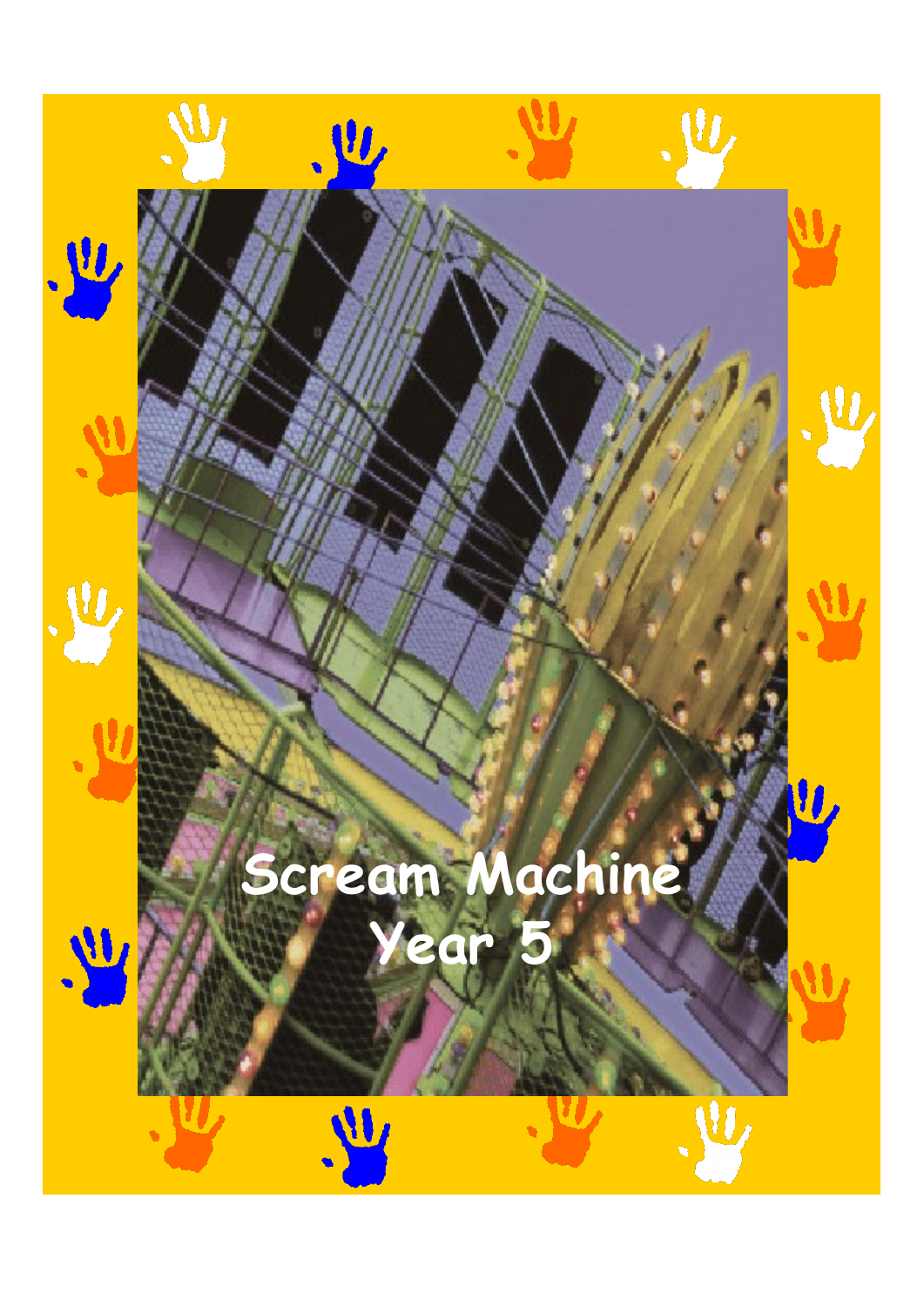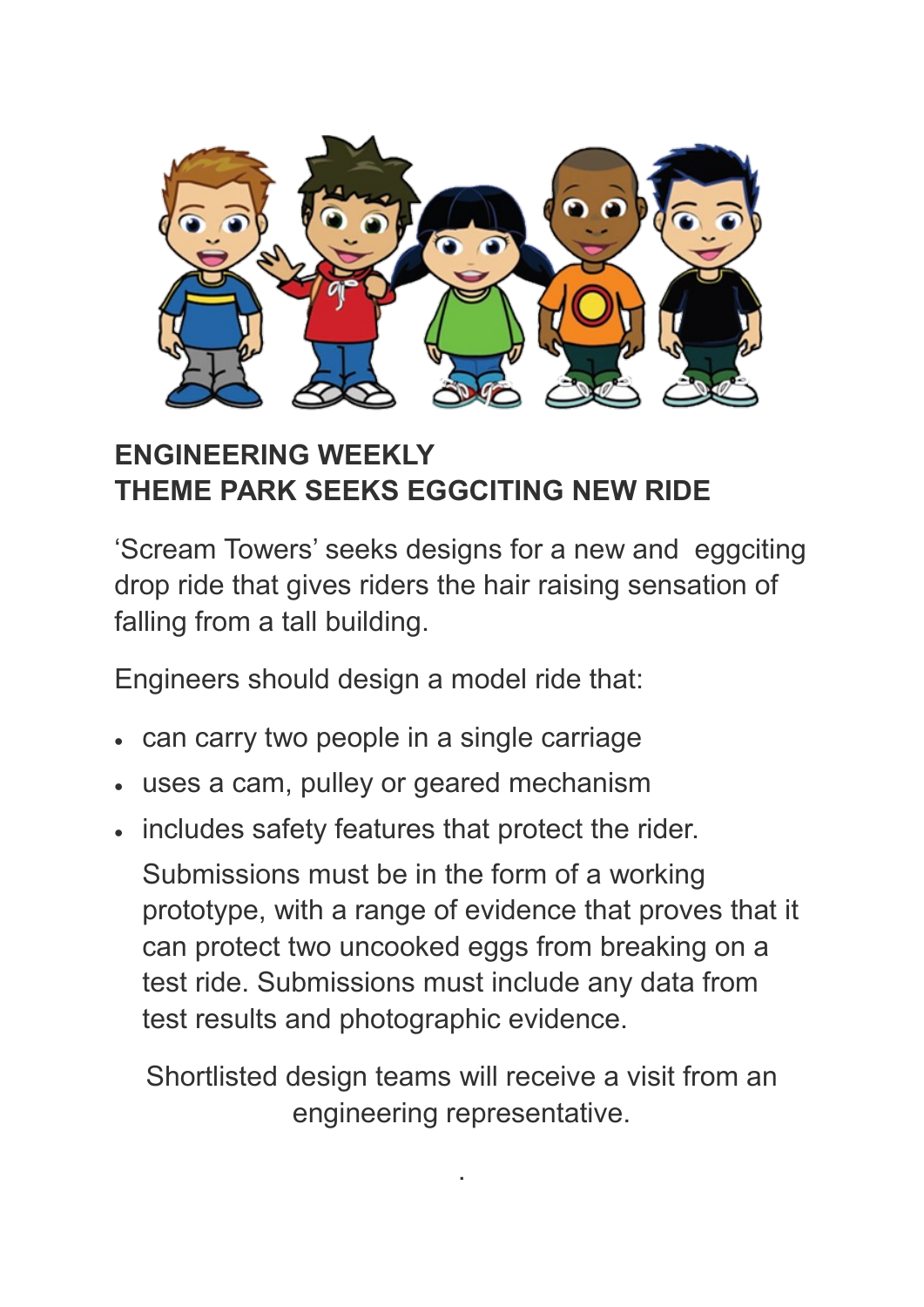

## **ENGINEERING WEEKLY THEME PARK SEEKS EGGCITING NEW RIDE**

'Scream Towers' seeks designs for a new and eggciting drop ride that gives riders the hair raising sensation of falling from a tall building.

Engineers should design a model ride that:

- can carry two people in a single carriage
- uses a cam, pulley or geared mechanism
- includes safety features that protect the rider.

Submissions must be in the form of a working prototype, with a range of evidence that proves that it can protect two uncooked eggs from breaking on a test ride. Submissions must include any data from test results and photographic evidence.

Shortlisted design teams will receive a visit from an engineering representative.

.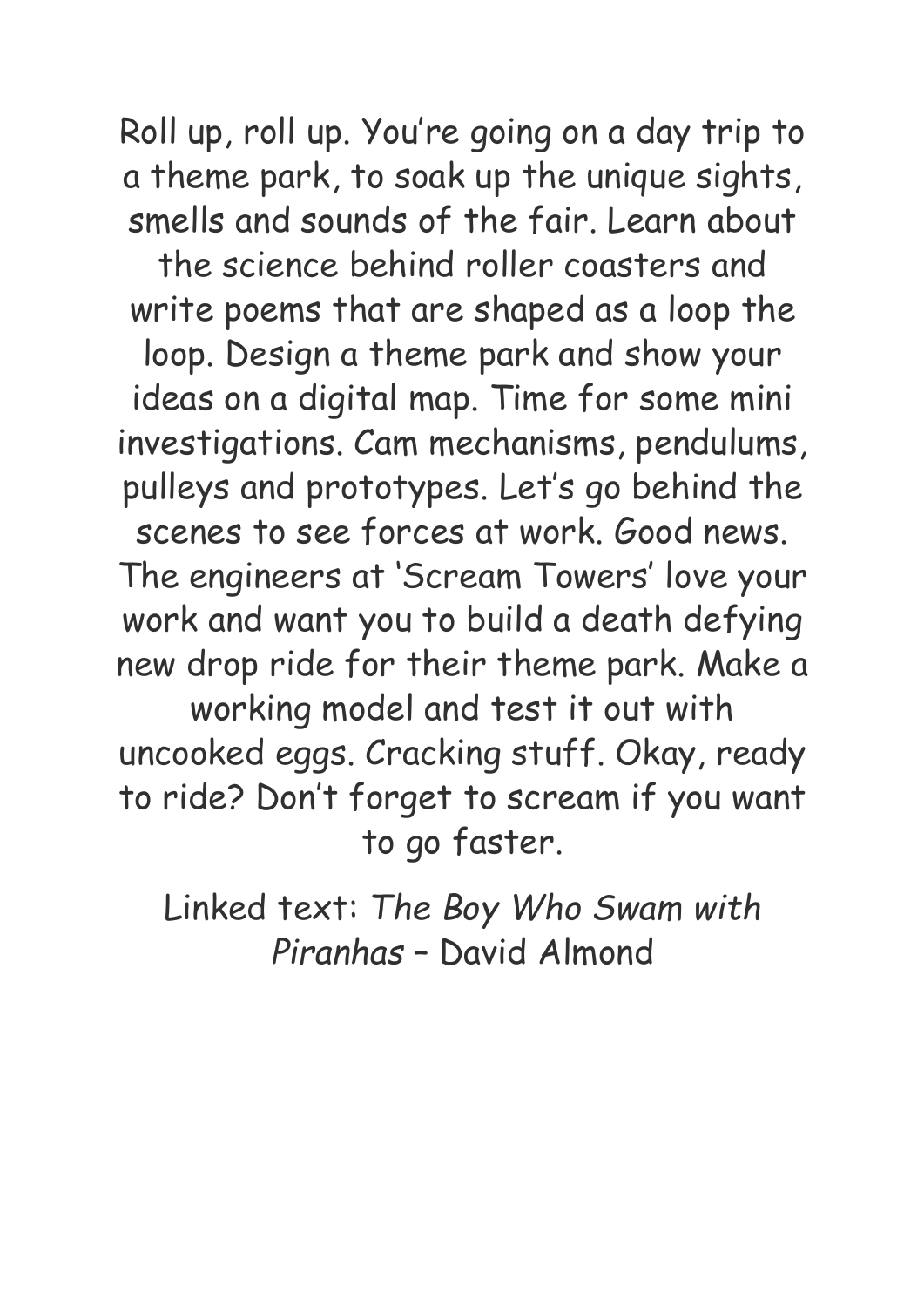Roll up, roll up. You're going on a day trip to a theme park, to soak up the unique sights, smells and sounds of the fair. Learn about

the science behind roller coasters and write poems that are shaped as a loop the loop. Design a theme park and show your ideas on a digital map. Time for some mini investigations. Cam mechanisms, pendulums, pulleys and prototypes. Let's go behind the scenes to see forces at work. Good news. The engineers at 'Scream Towers' love your work and want you to build a death defying new drop ride for their theme park. Make a working model and test it out with uncooked eggs. Cracking stuff. Okay, ready to ride? Don't forget to scream if you want

to go faster.

Linked text: *The Boy Who Swam with Piranhas* – David Almond